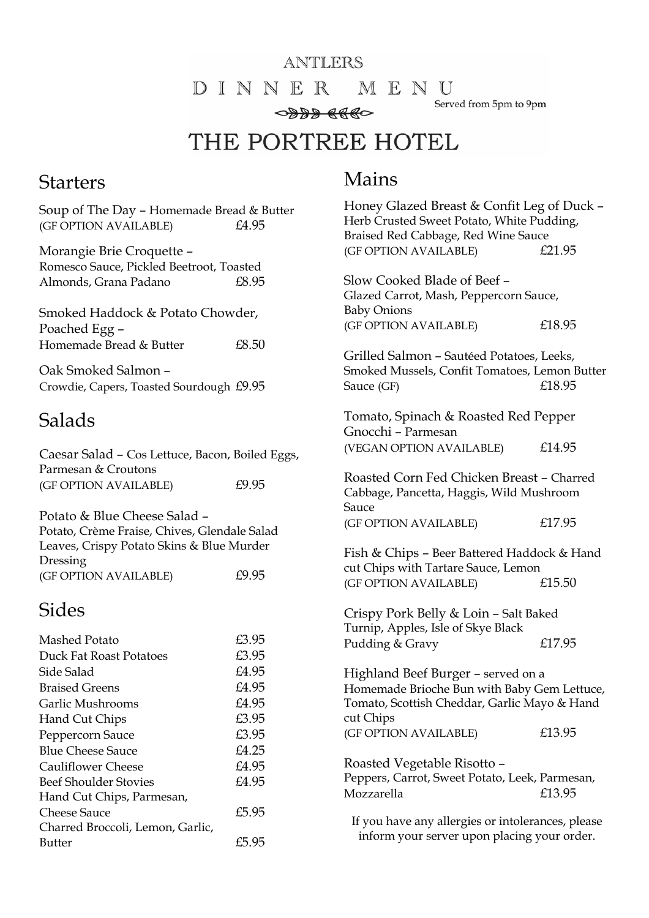#### ANTLERS

DINNER MENU

Served from 5pm to 9pm

0888 8880

THE PORTREE HOTEL

#### **Starters**

#### Soup of The Day – Homemade Bread & Butter (GF OPTION AVAILABLE) £4.95

Morangie Brie Croquette – Romesco Sauce, Pickled Beetroot, Toasted Almonds, Grana Padano £8.95

Smoked Haddock & Potato Chowder, Poached Egg – Homemade Bread & Butter  $£8.50$ 

Oak Smoked Salmon – Crowdie, Capers, Toasted Sourdough £9.95

### Salads

| Caesar Salad - Cos Lettuce, Bacon, Boiled Eggs,<br>Parmesan & Croutons                                                                |       |  |
|---------------------------------------------------------------------------------------------------------------------------------------|-------|--|
| (GF OPTION AVAILABLE)                                                                                                                 | £9.95 |  |
| Potato & Blue Cheese Salad -<br>Potato, Crème Fraise, Chives, Glendale Salad<br>Leaves, Crispy Potato Skins & Blue Murder<br>Dressing |       |  |
| (GF OPTION AVAILABLE)                                                                                                                 | £9.95 |  |
| Sides                                                                                                                                 |       |  |
| Mashed Potato                                                                                                                         | £3.95 |  |
| Duck Fat Roast Potatoes                                                                                                               | £3.95 |  |
| Side Salad                                                                                                                            | £4.95 |  |
| <b>Braised Greens</b>                                                                                                                 | £4.95 |  |
| Garlic Mushrooms                                                                                                                      | £4.95 |  |
| Hand Cut Chips                                                                                                                        | £3.95 |  |
| Peppercorn Sauce                                                                                                                      | £3.95 |  |
| <b>Blue Cheese Sauce</b>                                                                                                              | £4.25 |  |
| <b>Cauliflower Cheese</b>                                                                                                             | £4.95 |  |
| <b>Beef Shoulder Stovies</b>                                                                                                          | £4.95 |  |
| Hand Cut Chips, Parmesan,                                                                                                             |       |  |
| Cheese Sauce                                                                                                                          | £5.95 |  |
| Charred Broccoli, Lemon, Garlic,                                                                                                      |       |  |
| Butter                                                                                                                                | £5.95 |  |

## Mains

| Honey Glazed Breast & Confit Leg of Duck -<br>Herb Crusted Sweet Potato, White Pudding,<br>Braised Red Cabbage, Red Wine Sauce<br>(GF OPTION AVAILABLE) | £21.95 |  |
|---------------------------------------------------------------------------------------------------------------------------------------------------------|--------|--|
| Slow Cooked Blade of Beef -<br>Glazed Carrot, Mash, Peppercorn Sauce,<br><b>Baby Onions</b>                                                             |        |  |
| (GF OPTION AVAILABLE)                                                                                                                                   | £18.95 |  |
| Grilled Salmon - Sautéed Potatoes, Leeks,<br>Smoked Mussels, Confit Tomatoes, Lemon Butter<br>Sauce (GF)                                                | £18.95 |  |
| Tomato, Spinach & Roasted Red Pepper<br>Gnocchi - Parmesan                                                                                              |        |  |
| (VEGAN OPTION AVAILABLE)                                                                                                                                | £14.95 |  |
| Roasted Corn Fed Chicken Breast - Charred<br>Cabbage, Pancetta, Haggis, Wild Mushroom<br>Sauce                                                          |        |  |
| (GF OPTION AVAILABLE)                                                                                                                                   | £17.95 |  |
| Fish & Chips - Beer Battered Haddock & Hand<br>cut Chips with Tartare Sauce, Lemon                                                                      |        |  |
| (GF OPTION AVAILABLE)                                                                                                                                   | £15.50 |  |
| Crispy Pork Belly & Loin - Salt Baked<br>Turnip, Apples, Isle of Skye Black                                                                             |        |  |
| Pudding & Gravy                                                                                                                                         | £17.95 |  |
| Highland Beef Burger - served on a<br>Homemade Brioche Bun with Baby Gem Lettuce,<br>Tomato, Scottish Cheddar, Garlic Mayo & Hand<br>cut Chips          |        |  |
| (GF OPTION AVAILABLE)                                                                                                                                   | £13.95 |  |
| Roasted Vegetable Risotto -<br>Peppers, Carrot, Sweet Potato, Leek, Parmesan,<br>Mozzarella                                                             | £13.95 |  |
| If you have any allergies or intolerances, please<br>inform your server upon placing your order.                                                        |        |  |